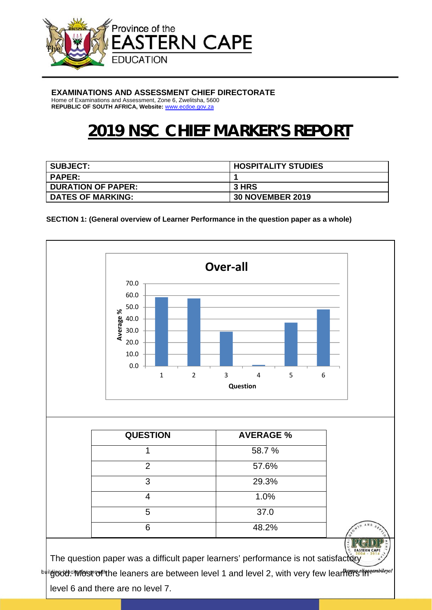

#### **EXAMINATIONS AND ASSESSMENT CHIEF DIRECTORATE**

Home of Examinations and Assessment, Zone 6, Zwelitsha, 5600 **REPUBLIC OF SOUTH AFRICA, Website:** www.ecdoe.gov.za

# **2019 NSC CHIEF MARKER'S REPORT**

| <b>SUBJECT:</b>           | <b>HOSPITALITY STUDIES</b> |
|---------------------------|----------------------------|
| <b>PAPER:</b>             |                            |
| <b>DURATION OF PAPER:</b> | <b>3 HRS</b>               |
| <b>DATES OF MARKING:</b>  | <b>30 NOVEMBER 2019</b>    |

**SECTION 1: (General overview of Learner Performance in the question paper as a whole)** 

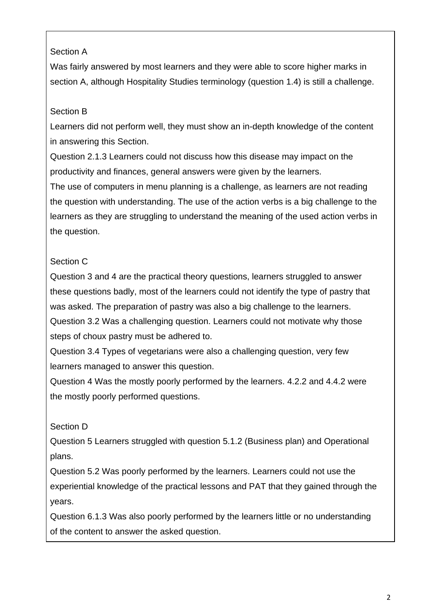### Section A

Was fairly answered by most learners and they were able to score higher marks in section A, although Hospitality Studies terminology (question 1.4) is still a challenge.

# Section B

Learners did not perform well, they must show an in-depth knowledge of the content in answering this Section.

Question 2.1.3 Learners could not discuss how this disease may impact on the productivity and finances, general answers were given by the learners.

The use of computers in menu planning is a challenge, as learners are not reading the question with understanding. The use of the action verbs is a big challenge to the learners as they are struggling to understand the meaning of the used action verbs in the question.

# Section C

Question 3 and 4 are the practical theory questions, learners struggled to answer these questions badly, most of the learners could not identify the type of pastry that was asked. The preparation of pastry was also a big challenge to the learners. Question 3.2 Was a challenging question. Learners could not motivate why those steps of choux pastry must be adhered to.

Question 3.4 Types of vegetarians were also a challenging question, very few learners managed to answer this question.

Question 4 Was the mostly poorly performed by the learners. 4.2.2 and 4.4.2 were the mostly poorly performed questions.

# Section D

Question 5 Learners struggled with question 5.1.2 (Business plan) and Operational plans.

Question 5.2 Was poorly performed by the learners. Learners could not use the experiential knowledge of the practical lessons and PAT that they gained through the years.

Question 6.1.3 Was also poorly performed by the learners little or no understanding of the content to answer the asked question.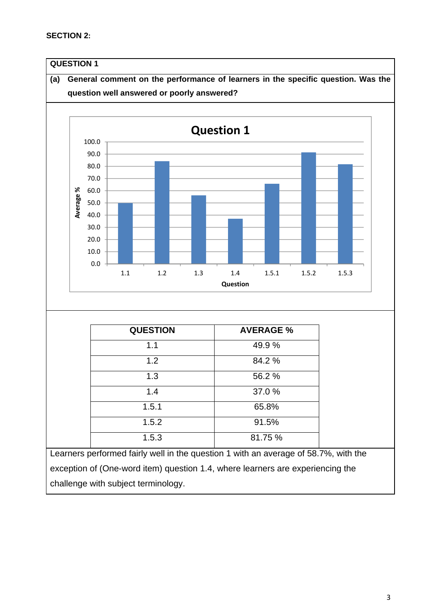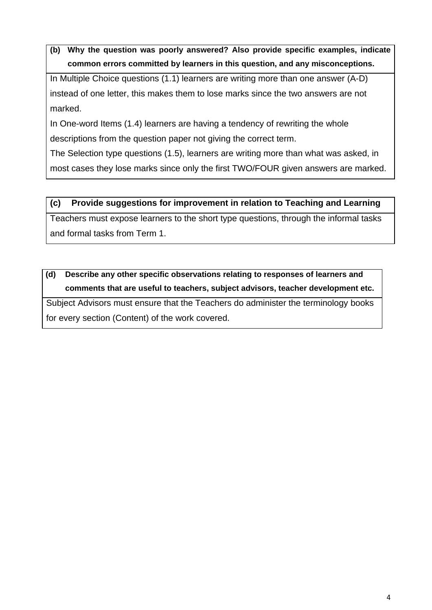In Multiple Choice questions (1.1) learners are writing more than one answer (A-D) instead of one letter, this makes them to lose marks since the two answers are not marked.

In One-word Items (1.4) learners are having a tendency of rewriting the whole descriptions from the question paper not giving the correct term.

The Selection type questions (1.5), learners are writing more than what was asked, in most cases they lose marks since only the first TWO/FOUR given answers are marked.

#### **(c) Provide suggestions for improvement in relation to Teaching and Learning**

Teachers must expose learners to the short type questions, through the informal tasks and formal tasks from Term 1.

# **(d) Describe any other specific observations relating to responses of learners and comments that are useful to teachers, subject advisors, teacher development etc.**

Subject Advisors must ensure that the Teachers do administer the terminology books for every section (Content) of the work covered.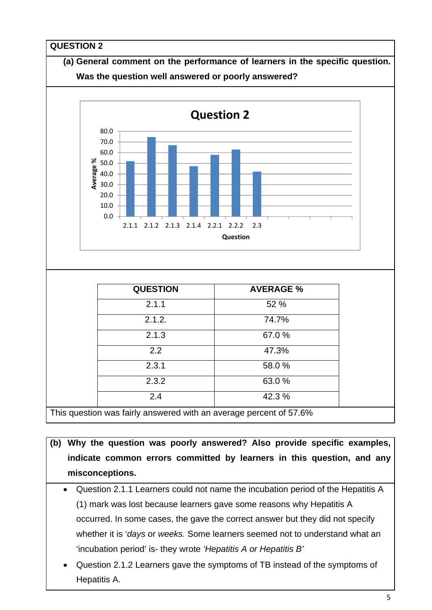

This question was fairly answered with an average percent of 57.6%

- **(b) Why the question was poorly answered? Also provide specific examples, indicate common errors committed by learners in this question, and any misconceptions.** 
	- Question 2.1.1 Learners could not name the incubation period of the Hepatitis A (1) mark was lost because learners gave some reasons why Hepatitis A occurred. In some cases, the gave the correct answer but they did not specify whether it is '*days* or *weeks.* Some learners seemed not to understand what an 'incubation period' is- they wrote *'Hepatitis A or Hepatitis B'*
	- Question 2.1.2 Learners gave the symptoms of TB instead of the symptoms of Hepatitis A.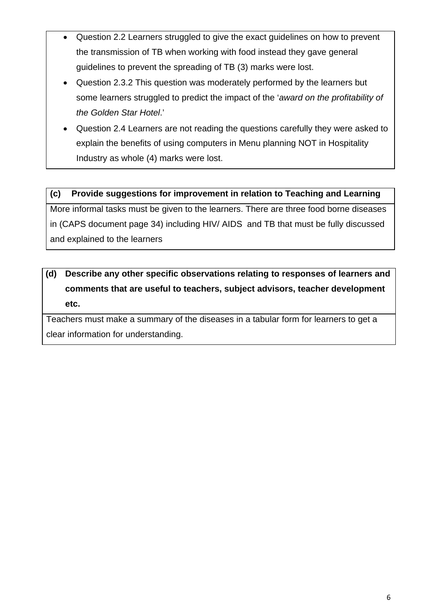- Question 2.2 Learners struggled to give the exact guidelines on how to prevent the transmission of TB when working with food instead they gave general guidelines to prevent the spreading of TB (3) marks were lost.
- Question 2.3.2 This question was moderately performed by the learners but some learners struggled to predict the impact of the '*award on the profitability of the Golden Star Hotel*.'
- Question 2.4 Learners are not reading the questions carefully they were asked to explain the benefits of using computers in Menu planning NOT in Hospitality Industry as whole (4) marks were lost.

More informal tasks must be given to the learners. There are three food borne diseases in (CAPS document page 34) including HIV/ AIDS and TB that must be fully discussed and explained to the learners

# **(d) Describe any other specific observations relating to responses of learners and comments that are useful to teachers, subject advisors, teacher development etc.**

Teachers must make a summary of the diseases in a tabular form for learners to get a clear information for understanding.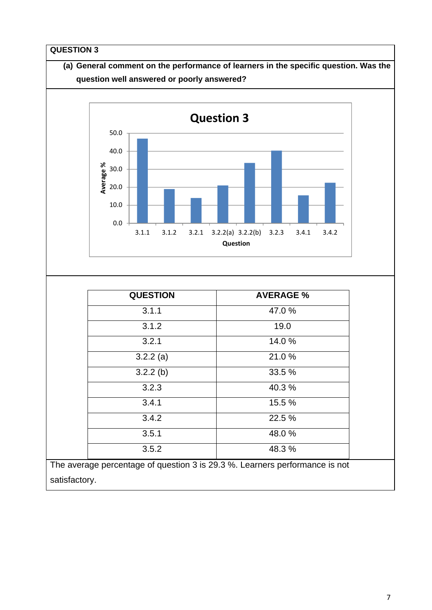

satisfactory.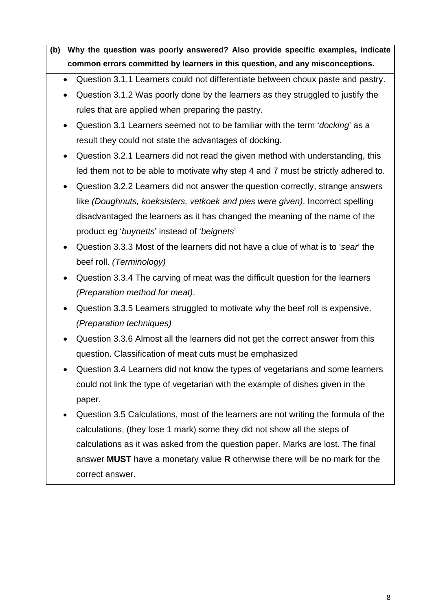- Question 3.1.1 Learners could not differentiate between choux paste and pastry.
- Question 3.1.2 Was poorly done by the learners as they struggled to justify the rules that are applied when preparing the pastry.
- Question 3.1 Learners seemed not to be familiar with the term '*docking*' as a result they could not state the advantages of docking.
- Question 3.2.1 Learners did not read the given method with understanding, this led them not to be able to motivate why step 4 and 7 must be strictly adhered to.
- Question 3.2.2 Learners did not answer the question correctly, strange answers like *(Doughnuts, koeksisters, vetkoek and pies were given)*. Incorrect spelling disadvantaged the learners as it has changed the meaning of the name of the product eg '*buynetts*' instead of '*beignets*'
- Question 3.3.3 Most of the learners did not have a clue of what is to '*sear*' the beef roll. *(Terminology)*
- Question 3.3.4 The carving of meat was the difficult question for the learners *(Preparation method for meat)*.
- Question 3.3.5 Learners struggled to motivate why the beef roll is expensive. *(Preparation techniques)*
- Question 3.3.6 Almost all the learners did not get the correct answer from this question. Classification of meat cuts must be emphasized
- Question 3.4 Learners did not know the types of vegetarians and some learners could not link the type of vegetarian with the example of dishes given in the paper.
- Question 3.5 Calculations, most of the learners are not writing the formula of the calculations, (they lose 1 mark) some they did not show all the steps of calculations as it was asked from the question paper. Marks are lost. The final answer **MUST** have a monetary value **R** otherwise there will be no mark for the correct answer.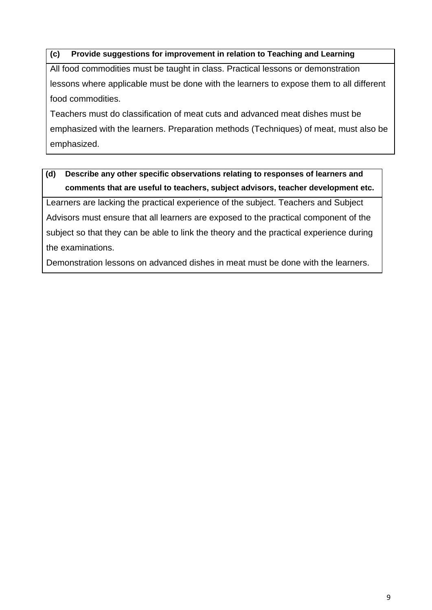All food commodities must be taught in class. Practical lessons or demonstration lessons where applicable must be done with the learners to expose them to all different food commodities.

Teachers must do classification of meat cuts and advanced meat dishes must be emphasized with the learners. Preparation methods (Techniques) of meat, must also be emphasized.

# **(d) Describe any other specific observations relating to responses of learners and comments that are useful to teachers, subject advisors, teacher development etc.**

Learners are lacking the practical experience of the subject. Teachers and Subject Advisors must ensure that all learners are exposed to the practical component of the subject so that they can be able to link the theory and the practical experience during the examinations.

Demonstration lessons on advanced dishes in meat must be done with the learners.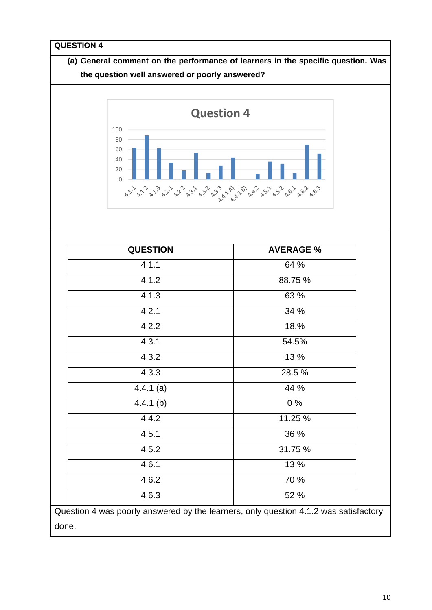

| <b>QUESTION</b> | <b>AVERAGE %</b> |
|-----------------|------------------|
| 4.1.1           | 64 %             |
| 4.1.2           | 88.75 %          |
| 4.1.3           | 63 %             |
| 4.2.1           | 34 %             |
| 4.2.2           | 18.%             |
| 4.3.1           | 54.5%            |
| 4.3.2           | 13 %             |
| 4.3.3           | 28.5 %           |
| $4.4.1$ (a)     | 44 %             |
| $4.4.1$ (b)     | 0%               |
| 4.4.2           | 11.25 %          |
| 4.5.1           | 36 %             |
| 4.5.2           | 31.75 %          |
| 4.6.1           | 13 %             |
| 4.6.2           | 70 %             |
| 4.6.3           | 52 %             |

done.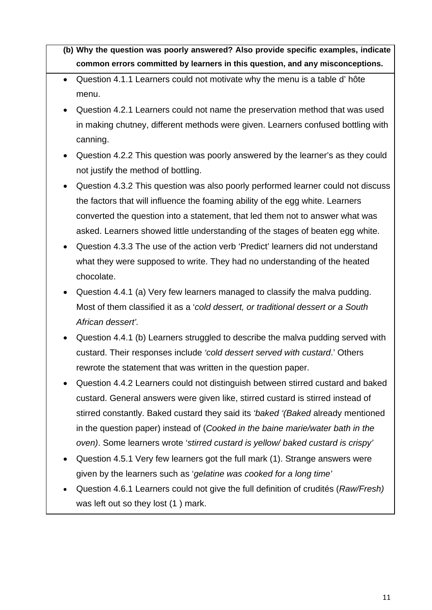- Question 4.1.1 Learners could not motivate why the menu is a table d' hôte menu.
- Question 4.2.1 Learners could not name the preservation method that was used in making chutney, different methods were given. Learners confused bottling with canning.
- Question 4.2.2 This question was poorly answered by the learner's as they could not justify the method of bottling.
- Question 4.3.2 This question was also poorly performed learner could not discuss the factors that will influence the foaming ability of the egg white. Learners converted the question into a statement, that led them not to answer what was asked. Learners showed little understanding of the stages of beaten egg white.
- Question 4.3.3 The use of the action verb 'Predict' learners did not understand what they were supposed to write. They had no understanding of the heated chocolate.
- Question 4.4.1 (a) Very few learners managed to classify the malva pudding. Most of them classified it as a '*cold dessert, or traditional dessert or a South African dessert'.*
- Question 4.4.1 (b) Learners struggled to describe the malva pudding served with custard. Their responses include *'cold dessert served with custard*.' Others rewrote the statement that was written in the question paper.
- Question 4.4.2 Learners could not distinguish between stirred custard and baked custard. General answers were given like, stirred custard is stirred instead of stirred constantly. Baked custard they said its *'baked '(Baked* already mentioned in the question paper) instead of (*Cooked in the baine marie/water bath in the oven)*. Some learners wrote '*stirred custard is yellow/ baked custard is crispy'*
- Question 4.5.1 Very few learners got the full mark (1). Strange answers were given by the learners such as '*gelatine was cooked for a long time'*
- Question 4.6.1 Learners could not give the full definition of crudités (*Raw/Fresh)*  was left out so they lost (1 ) mark.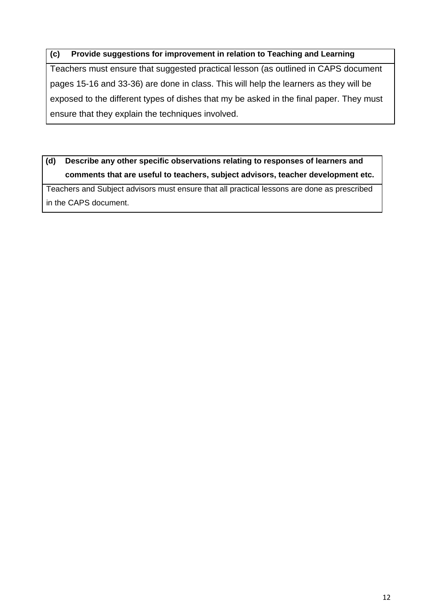Teachers must ensure that suggested practical lesson (as outlined in CAPS document pages 15-16 and 33-36) are done in class. This will help the learners as they will be exposed to the different types of dishes that my be asked in the final paper. They must ensure that they explain the techniques involved.

# **(d) Describe any other specific observations relating to responses of learners and comments that are useful to teachers, subject advisors, teacher development etc.**

Teachers and Subject advisors must ensure that all practical lessons are done as prescribed in the CAPS document.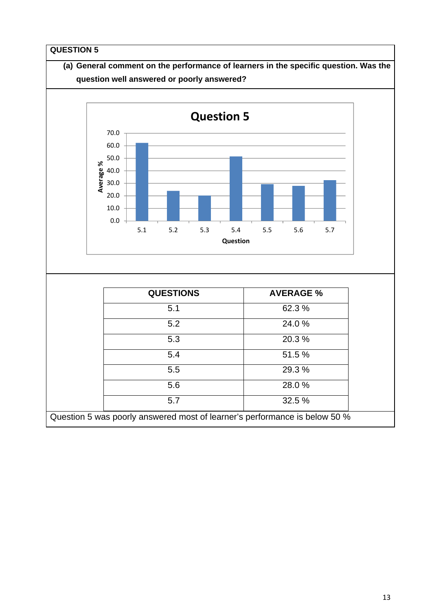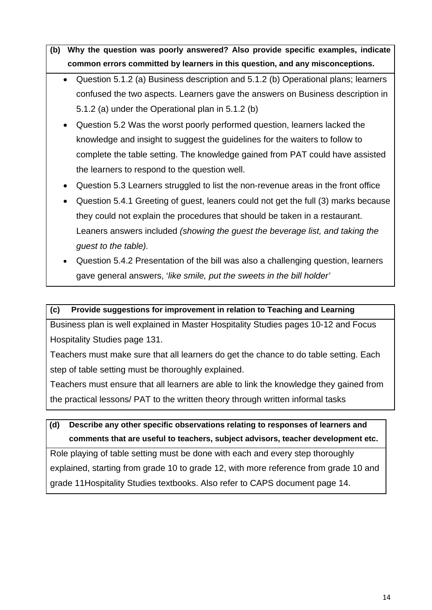- Question 5.1.2 (a) Business description and 5.1.2 (b) Operational plans; learners confused the two aspects. Learners gave the answers on Business description in 5.1.2 (a) under the Operational plan in 5.1.2 (b)
- Question 5.2 Was the worst poorly performed question, learners lacked the knowledge and insight to suggest the guidelines for the waiters to follow to complete the table setting. The knowledge gained from PAT could have assisted the learners to respond to the question well.
- Question 5.3 Learners struggled to list the non-revenue areas in the front office
- Question 5.4.1 Greeting of guest, leaners could not get the full (3) marks because they could not explain the procedures that should be taken in a restaurant. Leaners answers included *(showing the guest the beverage list, and taking the guest to the table).*
- Question 5.4.2 Presentation of the bill was also a challenging question, learners gave general answers, '*like smile, put the sweets in the bill holder'*

#### **(c) Provide suggestions for improvement in relation to Teaching and Learning**

Business plan is well explained in Master Hospitality Studies pages 10-12 and Focus Hospitality Studies page 131.

Teachers must make sure that all learners do get the chance to do table setting. Each step of table setting must be thoroughly explained.

Teachers must ensure that all learners are able to link the knowledge they gained from the practical lessons/ PAT to the written theory through written informal tasks

# **(d) Describe any other specific observations relating to responses of learners and comments that are useful to teachers, subject advisors, teacher development etc.**

Role playing of table setting must be done with each and every step thoroughly explained, starting from grade 10 to grade 12, with more reference from grade 10 and grade 11Hospitality Studies textbooks. Also refer to CAPS document page 14.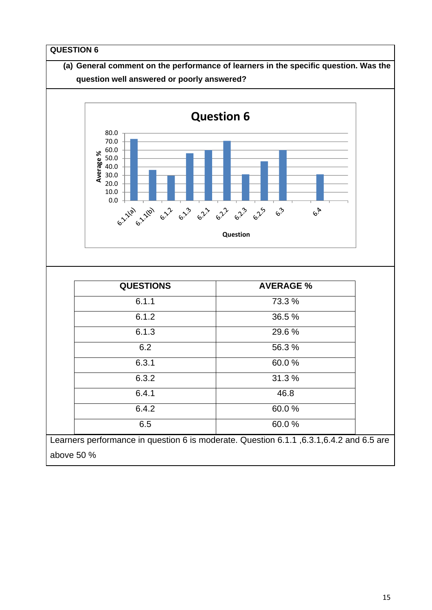